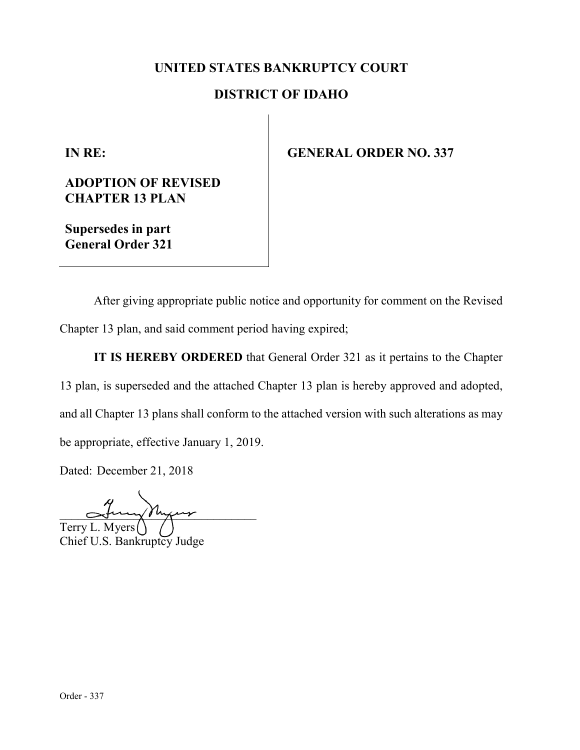## **UNITED STATES BANKRUPTCY COURT**

## **DISTRICT OF IDAHO**

**IN RE:**

**ADOPTION OF REVISED CHAPTER 13 PLAN**

**Supersedes in part General Order 321** **GENERAL ORDER NO. 337**

After giving appropriate public notice and opportunity for comment on the Revised Chapter 13 plan, and said comment period having expired;

**IT IS HEREBY ORDERED** that General Order 321 as it pertains to the Chapter 13 plan, is superseded and the attached Chapter 13 plan is hereby approved and adopted, and all Chapter 13 plans shall conform to the attached version with such alterations as may be appropriate, effective January 1, 2019.

Dated: December 21, 2018

 $\sim$ tury Myur Terry L. Myers Chief U.S. Bankruptcy Judge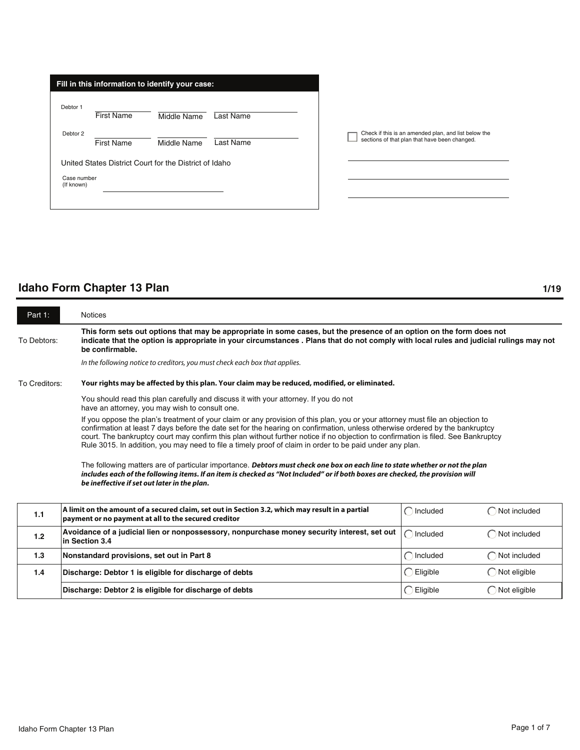| Fill in this information to identify your case: |                                                        |             |           |  |  |  |
|-------------------------------------------------|--------------------------------------------------------|-------------|-----------|--|--|--|
| Debtor 1                                        | <b>First Name</b>                                      | Middle Name | Last Name |  |  |  |
| Debtor 2                                        | <b>First Name</b>                                      | Middle Name | Last Name |  |  |  |
|                                                 | United States District Court for the District of Idaho |             |           |  |  |  |
| Case number<br>(If known)                       |                                                        |             |           |  |  |  |
|                                                 |                                                        |             |           |  |  |  |

Check if this is an amended plan, and list below the sections of that plan that have been changed.  $\Box$ 

| Part 1:       | <b>Notices</b>                                                                                                                                                                                                                                                                                                                                                                                                                                                                                                  |                     |                        |  |  |  |
|---------------|-----------------------------------------------------------------------------------------------------------------------------------------------------------------------------------------------------------------------------------------------------------------------------------------------------------------------------------------------------------------------------------------------------------------------------------------------------------------------------------------------------------------|---------------------|------------------------|--|--|--|
| To Debtors:   | This form sets out options that may be appropriate in some cases, but the presence of an option on the form does not<br>indicate that the option is appropriate in your circumstances. Plans that do not comply with local rules and judicial rulings may not<br>be confirmable.                                                                                                                                                                                                                                |                     |                        |  |  |  |
|               | In the following notice to creditors, you must check each box that applies.                                                                                                                                                                                                                                                                                                                                                                                                                                     |                     |                        |  |  |  |
| To Creditors: | Your rights may be affected by this plan. Your claim may be reduced, modified, or eliminated.                                                                                                                                                                                                                                                                                                                                                                                                                   |                     |                        |  |  |  |
|               | You should read this plan carefully and discuss it with your attorney. If you do not<br>have an attorney, you may wish to consult one.                                                                                                                                                                                                                                                                                                                                                                          |                     |                        |  |  |  |
|               | If you oppose the plan's treatment of your claim or any provision of this plan, you or your attorney must file an objection to<br>confirmation at least 7 days before the date set for the hearing on confirmation, unless otherwise ordered by the bankruptcy<br>court. The bankruptcy court may confirm this plan without further notice if no objection to confirmation is filed. See Bankruptcy<br>Rule 3015. In addition, you may need to file a timely proof of claim in order to be paid under any plan. |                     |                        |  |  |  |
|               | The following matters are of particular importance. Debtors must check one box on each line to state whether or not the plan<br>includes each of the following items. If an item is checked as "Not Included" or if both boxes are checked, the provision will<br>be ineffective if set out later in the plan.                                                                                                                                                                                                  |                     |                        |  |  |  |
| 1.1           | A limit on the amount of a secured claim, set out in Section 3.2, which may result in a partial<br>payment or no payment at all to the secured creditor                                                                                                                                                                                                                                                                                                                                                         | $\bigcap$ Included  | $\bigcap$ Not included |  |  |  |
| 1.2           | Avoidance of a judicial lien or nonpossessory, nonpurchase money security interest, set out<br>in Section 3.4                                                                                                                                                                                                                                                                                                                                                                                                   | $\bigcap$ Included  | $\bigcap$ Not included |  |  |  |
| 1.3           | Nonstandard provisions, set out in Part 8                                                                                                                                                                                                                                                                                                                                                                                                                                                                       | $\bigcap$ Included  | $\bigcap$ Not included |  |  |  |
| 1.4           | Discharge: Debtor 1 is eligible for discharge of debts                                                                                                                                                                                                                                                                                                                                                                                                                                                          | $\bigcirc$ Eligible | $\bigcap$ Not eligible |  |  |  |
|               | Discharge: Debtor 2 is eligible for discharge of debts                                                                                                                                                                                                                                                                                                                                                                                                                                                          | C<br>Eligible       | Not eligible           |  |  |  |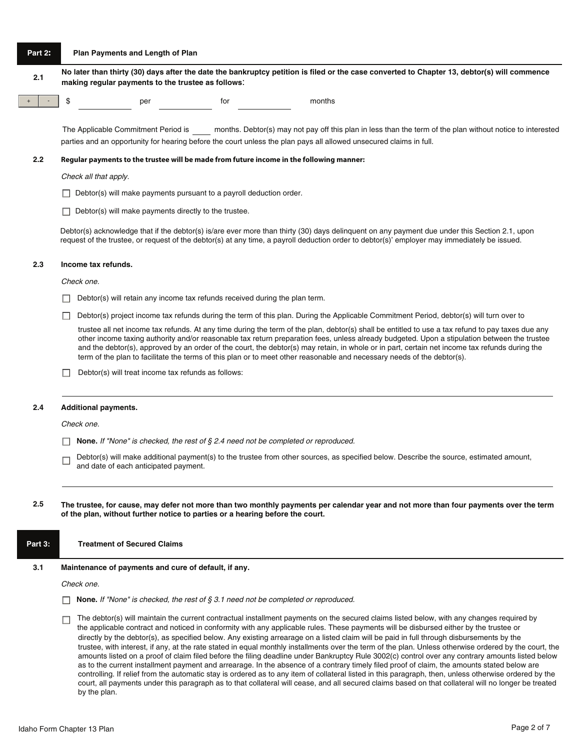# **Part 2: Plan Payments and Length of Plan 2.1 No later than thirty (30) days after the date the bankruptcy petition is filed or the case converted to Chapter 13, debtor(s) will commence making regular payments to the trustee as follows**: + - \$ per for months The Applicable Commitment Period is months. Debtor(s) may not pay off this plan in less than the term of the plan without notice to interested parties and an opportunity for hearing before the court unless the plan pays all allowed unsecured claims in full. **2.2 Regular payments to the trustee will be made from future income in the following manner:** *Check all that apply.*  $\Box$  Debtor(s) will make payments pursuant to a payroll deduction order.  $\Box$  Debtor(s) will make payments directly to the trustee. Debtor(s) acknowledge that if the debtor(s) is/are ever more than thirty (30) days delinquent on any payment due under this Section 2.1, upon request of the trustee, or request of the debtor(s) at any time, a payroll deduction order to debtor(s)' employer may immediately be issued. **2.3 Income tax refunds.** *Check one.*  $\Box$  Debtor(s) will retain any income tax refunds received during the plan term.  $\Box$  Debtor(s) project income tax refunds during the term of this plan. During the Applicable Commitment Period, debtor(s) will turn over to trustee all net income tax refunds. At any time during the term of the plan, debtor(s) shall be entitled to use a tax refund to pay taxes due any other income taxing authority and/or reasonable tax return preparation fees, unless already budgeted. Upon a stipulation between the trustee and the debtor(s), approved by an order of the court, the debtor(s) may retain, in whole or in part, certain net income tax refunds during the term of the plan to facilitate the terms of this plan or to meet other reasonable and necessary needs of the debtor(s).  $\Box$  Debtor(s) will treat income tax refunds as follows: **2.4 Additional payments.** *Check one.* **None.** *If "None" is checked, the rest of § 2.4 need not be completed or reproduced.* Debtor(s) will make additional payment(s) to the trustee from other sources, as specified below. Describe the source, estimated amount, П and date of each anticipated payment. **2.5 The trustee, for cause, may defer not more than two monthly payments per calendar year and not more than four payments over the term of the plan, without further notice to parties or a hearing before the court. Part 3: Treatment of Secured Claims 3.1 Maintenance of payments and cure of default, if any.** *Check one.* **None.** *If "None" is checked, the rest of § 3.1 need not be completed or reproduced.* The debtor(s) will maintain the current contractual installment payments on the secured claims listed below, with any changes required by П.

the applicable contract and noticed in conformity with any applicable rules. These payments will be disbursed either by the trustee or directly by the debtor(s), as specified below. Any existing arrearage on a listed claim will be paid in full through disbursements by the trustee, with interest, if any, at the rate stated in equal monthly installments over the term of the plan. Unless otherwise ordered by the court, the amounts listed on a proof of claim filed before the filing deadline under Bankruptcy Rule 3002(c) control over any contrary amounts listed below as to the current installment payment and arrearage. In the absence of a contrary timely filed proof of claim, the amounts stated below are controlling. If relief from the automatic stay is ordered as to any item of collateral listed in this paragraph, then, unless otherwise ordered by the court, all payments under this paragraph as to that collateral will cease, and all secured claims based on that collateral will no longer be treated by the plan.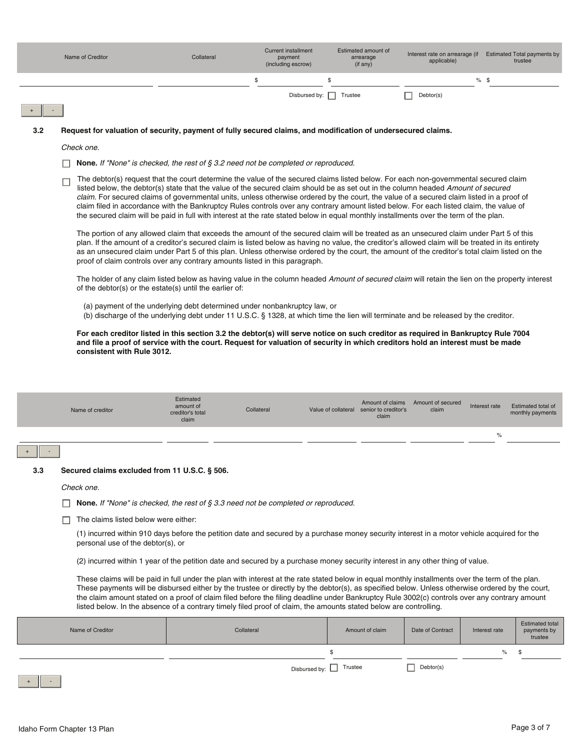|     | Name of Creditor                                                                                                                                                                                                                                                                                                                                                                                                                                                                                                                                                                                                                                                                                                 | Collateral                                                                                   | <b>Current installment</b><br>payment<br>(including escrow) |              | Estimated amount of<br>arrearage<br>(if any)                          | applicable)                |               | Interest rate on arrearage (if Estimated Total payments by<br>trustee |
|-----|------------------------------------------------------------------------------------------------------------------------------------------------------------------------------------------------------------------------------------------------------------------------------------------------------------------------------------------------------------------------------------------------------------------------------------------------------------------------------------------------------------------------------------------------------------------------------------------------------------------------------------------------------------------------------------------------------------------|----------------------------------------------------------------------------------------------|-------------------------------------------------------------|--------------|-----------------------------------------------------------------------|----------------------------|---------------|-----------------------------------------------------------------------|
|     |                                                                                                                                                                                                                                                                                                                                                                                                                                                                                                                                                                                                                                                                                                                  |                                                                                              | \$                                                          | \$           |                                                                       |                            | $%$ \$        |                                                                       |
|     |                                                                                                                                                                                                                                                                                                                                                                                                                                                                                                                                                                                                                                                                                                                  |                                                                                              | Disbursed by:                                               | П<br>Trustee |                                                                       | Debtor(s)                  |               |                                                                       |
|     |                                                                                                                                                                                                                                                                                                                                                                                                                                                                                                                                                                                                                                                                                                                  |                                                                                              |                                                             |              |                                                                       |                            |               |                                                                       |
| 3.2 | Request for valuation of security, payment of fully secured claims, and modification of undersecured claims.                                                                                                                                                                                                                                                                                                                                                                                                                                                                                                                                                                                                     |                                                                                              |                                                             |              |                                                                       |                            |               |                                                                       |
|     | Check one.                                                                                                                                                                                                                                                                                                                                                                                                                                                                                                                                                                                                                                                                                                       |                                                                                              |                                                             |              |                                                                       |                            |               |                                                                       |
|     |                                                                                                                                                                                                                                                                                                                                                                                                                                                                                                                                                                                                                                                                                                                  | <b>None.</b> If "None" is checked, the rest of $\S$ 3.2 need not be completed or reproduced. |                                                             |              |                                                                       |                            |               |                                                                       |
|     | The debtor(s) request that the court determine the value of the secured claims listed below. For each non-governmental secured claim<br>г<br>listed below, the debtor(s) state that the value of the secured claim should be as set out in the column headed Amount of secured<br>claim. For secured claims of governmental units, unless otherwise ordered by the court, the value of a secured claim listed in a proof of<br>claim filed in accordance with the Bankruptcy Rules controls over any contrary amount listed below. For each listed claim, the value of<br>the secured claim will be paid in full with interest at the rate stated below in equal monthly installments over the term of the plan. |                                                                                              |                                                             |              |                                                                       |                            |               |                                                                       |
|     | The portion of any allowed claim that exceeds the amount of the secured claim will be treated as an unsecured claim under Part 5 of this<br>plan. If the amount of a creditor's secured claim is listed below as having no value, the creditor's allowed claim will be treated in its entirety<br>as an unsecured claim under Part 5 of this plan. Unless otherwise ordered by the court, the amount of the creditor's total claim listed on the<br>proof of claim controls over any contrary amounts listed in this paragraph.                                                                                                                                                                                  |                                                                                              |                                                             |              |                                                                       |                            |               |                                                                       |
|     | The holder of any claim listed below as having value in the column headed Amount of secured claim will retain the lien on the property interest<br>of the debtor(s) or the estate(s) until the earlier of:                                                                                                                                                                                                                                                                                                                                                                                                                                                                                                       |                                                                                              |                                                             |              |                                                                       |                            |               |                                                                       |
|     | (a) payment of the underlying debt determined under nonbankruptcy law, or<br>(b) discharge of the underlying debt under 11 U.S.C. § 1328, at which time the lien will terminate and be released by the creditor.                                                                                                                                                                                                                                                                                                                                                                                                                                                                                                 |                                                                                              |                                                             |              |                                                                       |                            |               |                                                                       |
|     | For each creditor listed in this section 3.2 the debtor(s) will serve notice on such creditor as required in Bankruptcy Rule 7004<br>and file a proof of service with the court. Request for valuation of security in which creditors hold an interest must be made<br>consistent with Rule 3012.                                                                                                                                                                                                                                                                                                                                                                                                                |                                                                                              |                                                             |              |                                                                       |                            |               |                                                                       |
|     | Name of creditor                                                                                                                                                                                                                                                                                                                                                                                                                                                                                                                                                                                                                                                                                                 | Estimated<br>amount of<br>creditor's total<br>claim                                          | Collateral                                                  |              | Amount of claims<br>Value of collateral senior to creditor's<br>claim | Amount of secured<br>claim | Interest rate | Estimated total of<br>monthly payments                                |
|     |                                                                                                                                                                                                                                                                                                                                                                                                                                                                                                                                                                                                                                                                                                                  |                                                                                              |                                                             |              |                                                                       |                            | $\%$          |                                                                       |
|     |                                                                                                                                                                                                                                                                                                                                                                                                                                                                                                                                                                                                                                                                                                                  |                                                                                              |                                                             |              |                                                                       |                            |               |                                                                       |
| 3.3 | Secured claims excluded from 11 U.S.C. § 506.                                                                                                                                                                                                                                                                                                                                                                                                                                                                                                                                                                                                                                                                    |                                                                                              |                                                             |              |                                                                       |                            |               |                                                                       |
|     | Check one.                                                                                                                                                                                                                                                                                                                                                                                                                                                                                                                                                                                                                                                                                                       |                                                                                              |                                                             |              |                                                                       |                            |               |                                                                       |
|     | <b>None.</b> If "None" is checked, the rest of $\S$ 3.3 need not be completed or reproduced.                                                                                                                                                                                                                                                                                                                                                                                                                                                                                                                                                                                                                     |                                                                                              |                                                             |              |                                                                       |                            |               |                                                                       |
|     | The claims listed below were either:                                                                                                                                                                                                                                                                                                                                                                                                                                                                                                                                                                                                                                                                             |                                                                                              |                                                             |              |                                                                       |                            |               |                                                                       |
|     | (1) incurred within 910 days before the petition date and secured by a purchase money security interest in a motor vehicle acquired for the<br>personal use of the debtor(s), or                                                                                                                                                                                                                                                                                                                                                                                                                                                                                                                                 |                                                                                              |                                                             |              |                                                                       |                            |               |                                                                       |
|     | (2) incurred within 1 year of the petition date and secured by a purchase money security interest in any other thing of value.                                                                                                                                                                                                                                                                                                                                                                                                                                                                                                                                                                                   |                                                                                              |                                                             |              |                                                                       |                            |               |                                                                       |
|     | These claims will be paid in full under the plan with interest at the rate stated below in equal monthly installments over the term of the plan.<br>These payments will be disbursed either by the trustee or directly by the debtor(s), as specified below. Unless otherwise ordered by the court,<br>the claim amount stated on a proof of claim filed before the filing deadline under Bankruptcy Rule 3002(c) controls over any contrary amount<br>listed below. In the absence of a contrary timely filed proof of claim, the amounts stated below are controlling.                                                                                                                                         |                                                                                              |                                                             |              |                                                                       |                            |               |                                                                       |
|     |                                                                                                                                                                                                                                                                                                                                                                                                                                                                                                                                                                                                                                                                                                                  |                                                                                              |                                                             |              |                                                                       |                            |               | <b>Estimated total</b>                                                |

| Name of Creditor | Collateral    | Amount of claim | Date of Contract | Interest rate | Estimated total<br>payments by<br>trustee |
|------------------|---------------|-----------------|------------------|---------------|-------------------------------------------|
|                  |               |                 |                  | %             |                                           |
|                  | Disbursed by: | Trustee         | Debtor(s)        |               |                                           |

 $+$   $-$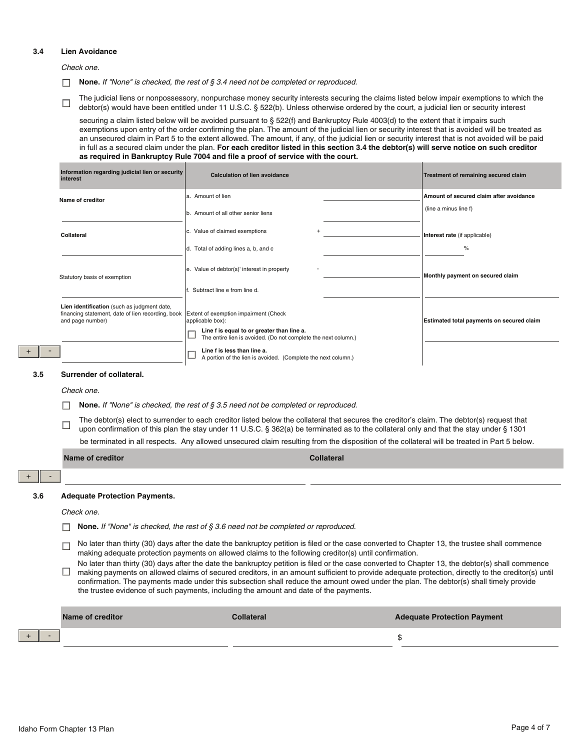#### **3.4 Lien Avoidance**

*Check one.*

**None.** *If "None" is checked, the rest of § 3.4 need not be completed or reproduced.*

The judicial liens or nonpossessory, nonpurchase money security interests securing the claims listed below impair exemptions to which the  $\Box$ debtor(s) would have been entitled under 11 U.S.C. § 522(b). Unless otherwise ordered by the court, a judicial lien or security interest

securing a claim listed below will be avoided pursuant to § 522(f) and Bankruptcy Rule 4003(d) to the extent that it impairs such exemptions upon entry of the order confirming the plan. The amount of the judicial lien or security interest that is avoided will be treated as an unsecured claim in Part 5 to the extent allowed. The amount, if any, of the judicial lien or security interest that is not avoided will be paid in full as a secured claim under the plan. **For each creditor listed in this section 3.4 the debtor(s) will serve notice on such creditor as required in Bankruptcy Rule 7004 and file a proof of service with the court.**

| Information regarding judicial lien or security<br>interest                                                                                                | <b>Calculation of lien avoidance</b>                                                                         | Treatment of remaining secured claim      |
|------------------------------------------------------------------------------------------------------------------------------------------------------------|--------------------------------------------------------------------------------------------------------------|-------------------------------------------|
| Name of creditor                                                                                                                                           | a. Amount of lien                                                                                            | Amount of secured claim after avoidance   |
|                                                                                                                                                            | b. Amount of all other senior liens                                                                          | (line a minus line f)                     |
| Collateral                                                                                                                                                 | c. Value of claimed exemptions                                                                               | Interest rate (if applicable)             |
|                                                                                                                                                            | d. Total of adding lines a, b, and c                                                                         | %                                         |
| Statutory basis of exemption                                                                                                                               | e. Value of debtor(s)' interest in property                                                                  | Monthly payment on secured claim          |
|                                                                                                                                                            | Subtract line e from line d.                                                                                 |                                           |
| Lien identification (such as judgment date,<br>financing statement, date of lien recording, book Extent of exemption impairment (Check<br>and page number) | applicable box):                                                                                             | Estimated total payments on secured claim |
|                                                                                                                                                            | Line f is equal to or greater than line a.<br>The entire lien is avoided. (Do not complete the next column.) |                                           |
|                                                                                                                                                            | Line f is less than line a.<br>A portion of the lien is avoided. (Complete the next column.)                 |                                           |

#### **3.5 Surrender of collateral.**

*Check one.*

 $\Box$ **None.** *If "None" is checked, the rest of § 3.5 need not be completed or reproduced.*

The debtor(s) elect to surrender to each creditor listed below the collateral that secures the creditor's claim. The debtor(s) request that  $\Box$ upon confirmation of this plan the stay under 11 U.S.C. § 362(a) be terminated as to the collateral only and that the stay under § 1301 be terminated in all respects. Any allowed unsecured claim resulting from the disposition of the collateral will be treated in Part 5 below.

|     | Name of creditor                                                                                                                                                                                                                                                                                                                                                                                                                                                                                                                        |                   | <b>Collateral</b>                                                                                                                              |
|-----|-----------------------------------------------------------------------------------------------------------------------------------------------------------------------------------------------------------------------------------------------------------------------------------------------------------------------------------------------------------------------------------------------------------------------------------------------------------------------------------------------------------------------------------------|-------------------|------------------------------------------------------------------------------------------------------------------------------------------------|
|     |                                                                                                                                                                                                                                                                                                                                                                                                                                                                                                                                         |                   |                                                                                                                                                |
| 3.6 | <b>Adequate Protection Payments.</b>                                                                                                                                                                                                                                                                                                                                                                                                                                                                                                    |                   |                                                                                                                                                |
|     | Check one.                                                                                                                                                                                                                                                                                                                                                                                                                                                                                                                              |                   |                                                                                                                                                |
|     | <b>None.</b> If "None" is checked, the rest of $\S$ 3.6 need not be completed or reproduced.                                                                                                                                                                                                                                                                                                                                                                                                                                            |                   |                                                                                                                                                |
|     | making adequate protection payments on allowed claims to the following creditor(s) until confirmation.                                                                                                                                                                                                                                                                                                                                                                                                                                  |                   | No later than thirty (30) days after the date the bankruptcy petition is filed or the case converted to Chapter 13, the trustee shall commence |
|     | No later than thirty (30) days after the date the bankruptcy petition is filed or the case converted to Chapter 13, the debtor(s) shall commence<br>making payments on allowed claims of secured creditors, in an amount sufficient to provide adequate protection, directly to the creditor(s) until<br>confirmation. The payments made under this subsection shall reduce the amount owed under the plan. The debtor(s) shall timely provide<br>the trustee evidence of such payments, including the amount and date of the payments. |                   |                                                                                                                                                |
|     | Name of creditor                                                                                                                                                                                                                                                                                                                                                                                                                                                                                                                        | <b>Collateral</b> | <b>Adequate Protection Payment</b>                                                                                                             |
|     |                                                                                                                                                                                                                                                                                                                                                                                                                                                                                                                                         |                   | \$                                                                                                                                             |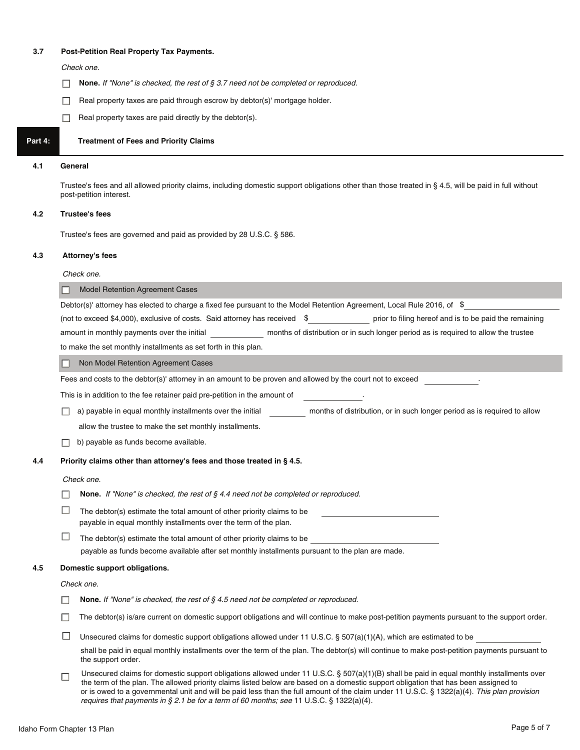#### **3.7 Post-Petition Real Property Tax Payments.**

*Check one.*

- $\Box$ **None.** *If "None" is checked, the rest of § 3.7 need not be completed or reproduced.*
- Real property taxes are paid through escrow by debtor(s)' mortgage holder.  $\Box$
- $\Box$  Real property taxes are paid directly by the debtor(s).

### **Part 4: Treatment of Fees and Priority Claims**

#### **4.1 General**

Trustee's fees and all allowed priority claims, including domestic support obligations other than those treated in § 4.5, will be paid in full without post-petition interest.

#### **4.2 Trustee's fees**

Trustee's fees are governed and paid as provided by 28 U.S.C. § 586.

#### **4.3 Attorney's fees**

*Check one.*

Model Retention Agreement Cases

|        | Debtor(s)' attorney has elected to charge a fixed fee pursuant to the Model Retention Agreement, Local Rule 2016, of \$                                                                                                                                                                                                                                                                                                         |
|--------|---------------------------------------------------------------------------------------------------------------------------------------------------------------------------------------------------------------------------------------------------------------------------------------------------------------------------------------------------------------------------------------------------------------------------------|
|        | (not to exceed \$4,000), exclusive of costs. Said attorney has received \$ prior to filing hereof and is to be paid the remaining                                                                                                                                                                                                                                                                                               |
|        | amount in monthly payments over the initial ___________________ months of distribution or in such longer period as is required to allow the trustee                                                                                                                                                                                                                                                                             |
|        | to make the set monthly installments as set forth in this plan.                                                                                                                                                                                                                                                                                                                                                                 |
|        | Non Model Retention Agreement Cases                                                                                                                                                                                                                                                                                                                                                                                             |
|        | Fees and costs to the debtor(s)' attorney in an amount to be proven and allowed by the court not to exceed                                                                                                                                                                                                                                                                                                                      |
|        | This is in addition to the fee retainer paid pre-petition in the amount of                                                                                                                                                                                                                                                                                                                                                      |
|        | a) payable in equal monthly installments over the initial months of distribution, or in such longer period as is required to allow                                                                                                                                                                                                                                                                                              |
|        | allow the trustee to make the set monthly installments.                                                                                                                                                                                                                                                                                                                                                                         |
|        | b) payable as funds become available.                                                                                                                                                                                                                                                                                                                                                                                           |
|        | Priority claims other than attorney's fees and those treated in § 4.5.                                                                                                                                                                                                                                                                                                                                                          |
|        | Check one.                                                                                                                                                                                                                                                                                                                                                                                                                      |
|        | <b>None.</b> If "None" is checked, the rest of $\S$ 4.4 need not be completed or reproduced.                                                                                                                                                                                                                                                                                                                                    |
| $\Box$ | The debtor(s) estimate the total amount of other priority claims to be<br>payable in equal monthly installments over the term of the plan.                                                                                                                                                                                                                                                                                      |
| $\Box$ | The debtor(s) estimate the total amount of other priority claims to be<br>payable as funds become available after set monthly installments pursuant to the plan are made.                                                                                                                                                                                                                                                       |
|        | Domestic support obligations.                                                                                                                                                                                                                                                                                                                                                                                                   |
|        | Check one.                                                                                                                                                                                                                                                                                                                                                                                                                      |
|        | <b>None.</b> If "None" is checked, the rest of $\S$ 4.5 need not be completed or reproduced.                                                                                                                                                                                                                                                                                                                                    |
|        | The debtor(s) is/are current on domestic support obligations and will continue to make post-petition payments pursuant to the support order.                                                                                                                                                                                                                                                                                    |
| ш      | Unsecured claims for domestic support obligations allowed under 11 U.S.C. $\S$ 507(a)(1)(A), which are estimated to be                                                                                                                                                                                                                                                                                                          |
|        | shall be paid in equal monthly installments over the term of the plan. The debtor(s) will continue to make post-petition payments pursuant to<br>the support order.                                                                                                                                                                                                                                                             |
| □      | Unsecured claims for domestic support obligations allowed under 11 U.S.C. § 507(a)(1)(B) shall be paid in equal monthly installments over<br>the term of the plan. The allowed priority claims listed below are based on a domestic support obligation that has been assigned to<br>or is owed to a governmental unit and will be paid less than the full amount of the claim under 11 U.S.C. § 1322(a)(4). This plan provision |

*requires that payments in § 2.1 be for a term of 60 months; see* 11 U.S.C. § 1322(a)(4).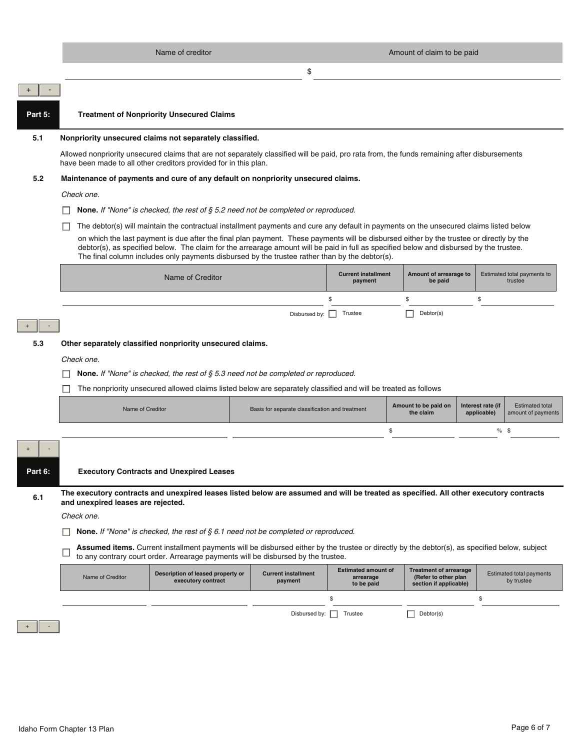|         | Name of creditor<br>Amount of claim to be paid                                                                                                                                                                                                                                                                                                                                        |                                                 |                                                       |                                                                                 |                                                                                  |  |
|---------|---------------------------------------------------------------------------------------------------------------------------------------------------------------------------------------------------------------------------------------------------------------------------------------------------------------------------------------------------------------------------------------|-------------------------------------------------|-------------------------------------------------------|---------------------------------------------------------------------------------|----------------------------------------------------------------------------------|--|
|         | \$                                                                                                                                                                                                                                                                                                                                                                                    |                                                 |                                                       |                                                                                 |                                                                                  |  |
|         |                                                                                                                                                                                                                                                                                                                                                                                       |                                                 |                                                       |                                                                                 |                                                                                  |  |
| Part 5: | <b>Treatment of Nonpriority Unsecured Claims</b>                                                                                                                                                                                                                                                                                                                                      |                                                 |                                                       |                                                                                 |                                                                                  |  |
| 5.1     | Nonpriority unsecured claims not separately classified.                                                                                                                                                                                                                                                                                                                               |                                                 |                                                       |                                                                                 |                                                                                  |  |
|         | Allowed nonpriority unsecured claims that are not separately classified will be paid, pro rata from, the funds remaining after disbursements<br>have been made to all other creditors provided for in this plan.                                                                                                                                                                      |                                                 |                                                       |                                                                                 |                                                                                  |  |
| 5.2     | Maintenance of payments and cure of any default on nonpriority unsecured claims.                                                                                                                                                                                                                                                                                                      |                                                 |                                                       |                                                                                 |                                                                                  |  |
|         | Check one.                                                                                                                                                                                                                                                                                                                                                                            |                                                 |                                                       |                                                                                 |                                                                                  |  |
|         | <b>None.</b> If "None" is checked, the rest of $\S$ 5.2 need not be completed or reproduced.                                                                                                                                                                                                                                                                                          |                                                 |                                                       |                                                                                 |                                                                                  |  |
|         | The debtor(s) will maintain the contractual installment payments and cure any default in payments on the unsecured claims listed below                                                                                                                                                                                                                                                |                                                 |                                                       |                                                                                 |                                                                                  |  |
|         | on which the last payment is due after the final plan payment. These payments will be disbursed either by the trustee or directly by the<br>debtor(s), as specified below. The claim for the arrearage amount will be paid in full as specified below and disbursed by the trustee.<br>The final column includes only payments disbursed by the trustee rather than by the debtor(s). |                                                 |                                                       |                                                                                 |                                                                                  |  |
|         | Name of Creditor                                                                                                                                                                                                                                                                                                                                                                      |                                                 | <b>Current installment</b><br>payment                 | Amount of arrearage to<br>be paid                                               | Estimated total payments to<br>trustee                                           |  |
|         |                                                                                                                                                                                                                                                                                                                                                                                       |                                                 | \$                                                    | \$                                                                              | \$                                                                               |  |
|         |                                                                                                                                                                                                                                                                                                                                                                                       | Disbursed by:                                   | Trustee                                               | Debtor(s)                                                                       |                                                                                  |  |
|         |                                                                                                                                                                                                                                                                                                                                                                                       |                                                 |                                                       |                                                                                 |                                                                                  |  |
| 5.3     | Other separately classified nonpriority unsecured claims.                                                                                                                                                                                                                                                                                                                             |                                                 |                                                       |                                                                                 |                                                                                  |  |
|         | Check one.                                                                                                                                                                                                                                                                                                                                                                            |                                                 |                                                       |                                                                                 |                                                                                  |  |
|         | None. If "None" is checked, the rest of $\S$ 5.3 need not be completed or reproduced.                                                                                                                                                                                                                                                                                                 |                                                 |                                                       |                                                                                 |                                                                                  |  |
|         | The nonpriority unsecured allowed claims listed below are separately classified and will be treated as follows                                                                                                                                                                                                                                                                        |                                                 |                                                       |                                                                                 |                                                                                  |  |
|         | Name of Creditor                                                                                                                                                                                                                                                                                                                                                                      | Basis for separate classification and treatment |                                                       | Amount to be paid on<br>the claim                                               | <b>Estimated total</b><br>Interest rate (if<br>applicable)<br>amount of payments |  |
|         |                                                                                                                                                                                                                                                                                                                                                                                       |                                                 | \$                                                    |                                                                                 | $%$ \$                                                                           |  |
|         |                                                                                                                                                                                                                                                                                                                                                                                       |                                                 |                                                       |                                                                                 |                                                                                  |  |
| Part 6: | <b>Executory Contracts and Unexpired Leases</b>                                                                                                                                                                                                                                                                                                                                       |                                                 |                                                       |                                                                                 |                                                                                  |  |
| 6.1     | The executory contracts and unexpired leases listed below are assumed and will be treated as specified. All other executory contracts<br>and unexpired leases are rejected.                                                                                                                                                                                                           |                                                 |                                                       |                                                                                 |                                                                                  |  |
|         | Check one.                                                                                                                                                                                                                                                                                                                                                                            |                                                 |                                                       |                                                                                 |                                                                                  |  |
|         | <b>None.</b> If "None" is checked, the rest of $\S 6.1$ need not be completed or reproduced.                                                                                                                                                                                                                                                                                          |                                                 |                                                       |                                                                                 |                                                                                  |  |
|         | Assumed items. Current installment payments will be disbursed either by the trustee or directly by the debtor(s), as specified below, subject<br>to any contrary court order. Arrearage payments will be disbursed by the trustee.                                                                                                                                                    |                                                 |                                                       |                                                                                 |                                                                                  |  |
|         | Description of leased property or<br>Name of Creditor<br>executory contract                                                                                                                                                                                                                                                                                                           | <b>Current installment</b><br>payment           | <b>Estimated amount of</b><br>arrearage<br>to be paid | <b>Treatment of arrearage</b><br>(Refer to other plan<br>section if applicable) | <b>Estimated total payments</b><br>by trustee                                    |  |
|         |                                                                                                                                                                                                                                                                                                                                                                                       |                                                 | \$                                                    |                                                                                 | \$                                                                               |  |
|         |                                                                                                                                                                                                                                                                                                                                                                                       | Disbursed by:                                   | Trustee                                               | Debtor(s)                                                                       |                                                                                  |  |
|         |                                                                                                                                                                                                                                                                                                                                                                                       |                                                 |                                                       |                                                                                 |                                                                                  |  |